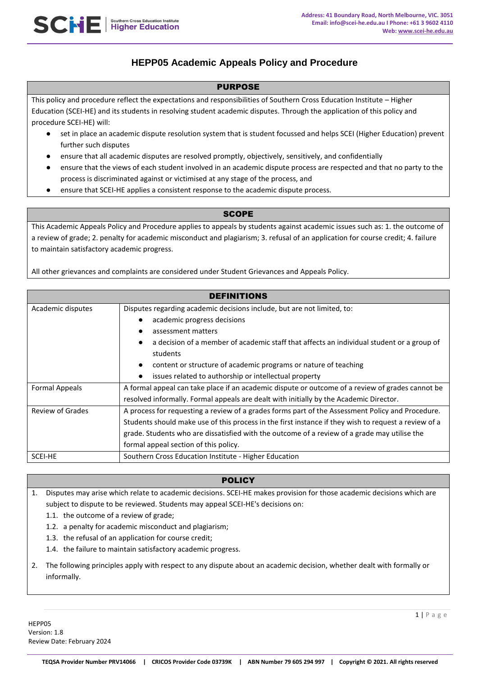# **HEPP05 Academic Appeals Policy and Procedure**

## PURPOSE

This policy and procedure reflect the expectations and responsibilities of Southern Cross Education Institute – Higher Education (SCEI-HE) and its students in resolving student academic disputes. Through the application of this policy and procedure SCEI-HE) will:

- set in place an academic dispute resolution system that is student focussed and helps SCEI (Higher Education) prevent further such disputes
- ensure that all academic disputes are resolved promptly, objectively, sensitively, and confidentially
- ensure that the views of each student involved in an academic dispute process are respected and that no party to the process is discriminated against or victimised at any stage of the process, and
- ensure that SCEI-HE applies a consistent response to the academic dispute process.

## **SCOPE**

This Academic Appeals Policy and Procedure applies to appeals by students against academic issues such as: 1. the outcome of a review of grade; 2. penalty for academic misconduct and plagiarism; 3. refusal of an application for course credit; 4. failure to maintain satisfactory academic progress.

All other grievances and complaints are considered under Student Grievances and Appeals Policy.

| <b>DEFINITIONS</b>      |                                                                                                      |
|-------------------------|------------------------------------------------------------------------------------------------------|
| Academic disputes       | Disputes regarding academic decisions include, but are not limited, to:                              |
|                         | academic progress decisions                                                                          |
|                         | assessment matters                                                                                   |
|                         | a decision of a member of academic staff that affects an individual student or a group of            |
|                         | students                                                                                             |
|                         | content or structure of academic programs or nature of teaching                                      |
|                         | issues related to authorship or intellectual property                                                |
| <b>Formal Appeals</b>   | A formal appeal can take place if an academic dispute or outcome of a review of grades cannot be     |
|                         | resolved informally. Formal appeals are dealt with initially by the Academic Director.               |
| <b>Review of Grades</b> | A process for requesting a review of a grades forms part of the Assessment Policy and Procedure.     |
|                         | Students should make use of this process in the first instance if they wish to request a review of a |
|                         | grade. Students who are dissatisfied with the outcome of a review of a grade may utilise the         |
|                         | formal appeal section of this policy.                                                                |
| SCEI-HE                 | Southern Cross Education Institute - Higher Education                                                |

## **POLICY**

1. Disputes may arise which relate to academic decisions. SCEI-HE makes provision for those academic decisions which are subject to dispute to be reviewed. Students may appeal SCEI-HE's decisions on:

1.1. the outcome of a review of grade;

SCNE Higher Education Institute

- 1.2. a penalty for academic misconduct and plagiarism;
- 1.3. the refusal of an application for course credit;
- 1.4. the failure to maintain satisfactory academic progress.
- 2. The following principles apply with respect to any dispute about an academic decision, whether dealt with formally or informally.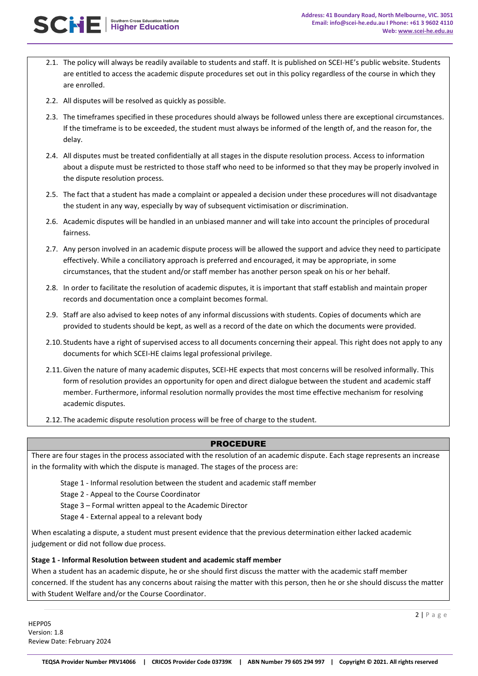

- 2.1. The policy will always be readily available to students and staff. It is published on SCEI-HE's public website. Students are entitled to access the academic dispute procedures set out in this policy regardless of the course in which they are enrolled.
- 2.2. All disputes will be resolved as quickly as possible.
- 2.3. The timeframes specified in these procedures should always be followed unless there are exceptional circumstances. If the timeframe is to be exceeded, the student must always be informed of the length of, and the reason for, the delay.
- 2.4. All disputes must be treated confidentially at all stages in the dispute resolution process. Access to information about a dispute must be restricted to those staff who need to be informed so that they may be properly involved in the dispute resolution process.
- 2.5. The fact that a student has made a complaint or appealed a decision under these procedures will not disadvantage the student in any way, especially by way of subsequent victimisation or discrimination.
- 2.6. Academic disputes will be handled in an unbiased manner and will take into account the principles of procedural fairness.
- 2.7. Any person involved in an academic dispute process will be allowed the support and advice they need to participate effectively. While a conciliatory approach is preferred and encouraged, it may be appropriate, in some circumstances, that the student and/or staff member has another person speak on his or her behalf.
- 2.8. In order to facilitate the resolution of academic disputes, it is important that staff establish and maintain proper records and documentation once a complaint becomes formal.
- 2.9. Staff are also advised to keep notes of any informal discussions with students. Copies of documents which are provided to students should be kept, as well as a record of the date on which the documents were provided.
- 2.10. Students have a right of supervised access to all documents concerning their appeal. This right does not apply to any documents for which SCEI-HE claims legal professional privilege.
- 2.11.Given the nature of many academic disputes, SCEI-HE expects that most concerns will be resolved informally. This form of resolution provides an opportunity for open and direct dialogue between the student and academic staff member. Furthermore, informal resolution normally provides the most time effective mechanism for resolving academic disputes.
- 2.12. The academic dispute resolution process will be free of charge to the student.

#### PROCEDURE

There are four stages in the process associated with the resolution of an academic dispute. Each stage represents an increase in the formality with which the dispute is managed. The stages of the process are:

Stage 1 - Informal resolution between the student and academic staff member

Stage 2 - Appeal to the Course Coordinator

Stage 3 – Formal written appeal to the Academic Director

Stage 4 - External appeal to a relevant body

When escalating a dispute, a student must present evidence that the previous determination either lacked academic judgement or did not follow due process.

#### **Stage 1 - Informal Resolution between student and academic staff member**

When a student has an academic dispute, he or she should first discuss the matter with the academic staff member concerned. If the student has any concerns about raising the matter with this person, then he or she should discuss the matter with Student Welfare and/or the Course Coordinator.

HEPP05 Version: 1.8 Review Date: February 2024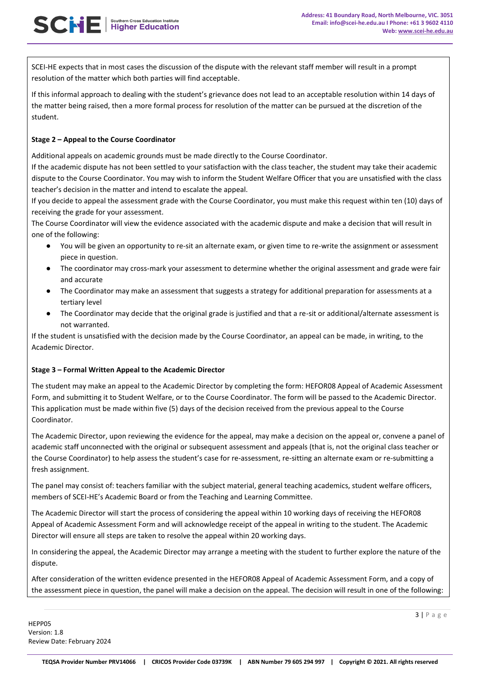SCEI-HE expects that in most cases the discussion of the dispute with the relevant staff member will result in a prompt resolution of the matter which both parties will find acceptable.

If this informal approach to dealing with the student's grievance does not lead to an acceptable resolution within 14 days of the matter being raised, then a more formal process for resolution of the matter can be pursued at the discretion of the student.

#### **Stage 2 – Appeal to the Course Coordinator**

**SCHE** | Southern Cross Education Institute

Additional appeals on academic grounds must be made directly to the Course Coordinator.

If the academic dispute has not been settled to your satisfaction with the class teacher, the student may take their academic dispute to the Course Coordinator. You may wish to inform the Student Welfare Officer that you are unsatisfied with the class teacher's decision in the matter and intend to escalate the appeal.

If you decide to appeal the assessment grade with the Course Coordinator, you must make this request within ten (10) days of receiving the grade for your assessment.

The Course Coordinator will view the evidence associated with the academic dispute and make a decision that will result in one of the following:

- You will be given an opportunity to re-sit an alternate exam, or given time to re-write the assignment or assessment piece in question.
- The coordinator may cross-mark your assessment to determine whether the original assessment and grade were fair and accurate
- The Coordinator may make an assessment that suggests a strategy for additional preparation for assessments at a tertiary level
- The Coordinator may decide that the original grade is justified and that a re-sit or additional/alternate assessment is not warranted.

If the student is unsatisfied with the decision made by the Course Coordinator, an appeal can be made, in writing, to the Academic Director.

#### **Stage 3 – Formal Written Appeal to the Academic Director**

The student may make an appeal to the Academic Director by completing the form: HEFOR08 Appeal of Academic Assessment Form, and submitting it to Student Welfare, or to the Course Coordinator. The form will be passed to the Academic Director. This application must be made within five (5) days of the decision received from the previous appeal to the Course Coordinator.

The Academic Director, upon reviewing the evidence for the appeal, may make a decision on the appeal or, convene a panel of academic staff unconnected with the original or subsequent assessment and appeals (that is, not the original class teacher or the Course Coordinator) to help assess the student's case for re-assessment, re-sitting an alternate exam or re-submitting a fresh assignment.

The panel may consist of: teachers familiar with the subject material, general teaching academics, student welfare officers, members of SCEI-HE's Academic Board or from the Teaching and Learning Committee.

The Academic Director will start the process of considering the appeal within 10 working days of receiving the HEFOR08 Appeal of Academic Assessment Form and will acknowledge receipt of the appeal in writing to the student. The Academic Director will ensure all steps are taken to resolve the appeal within 20 working days.

In considering the appeal, the Academic Director may arrange a meeting with the student to further explore the nature of the dispute.

After consideration of the written evidence presented in the HEFOR08 Appeal of Academic Assessment Form, and a copy of the assessment piece in question, the panel will make a decision on the appeal. The decision will result in one of the following: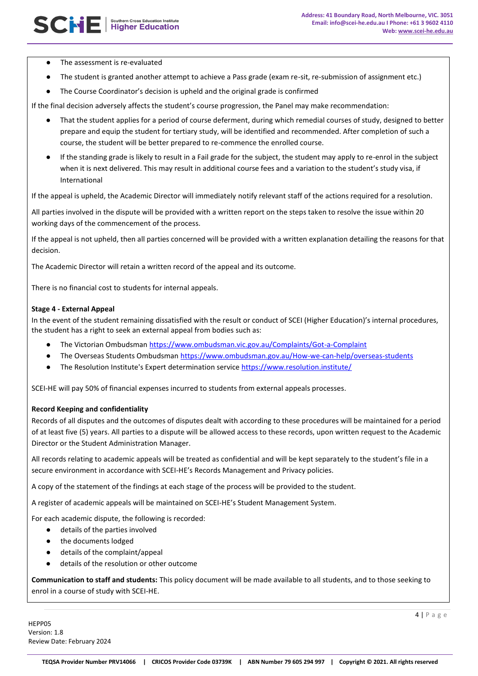- The assessment is re-evaluated
- The student is granted another attempt to achieve a Pass grade (exam re-sit, re-submission of assignment etc.)
- The Course Coordinator's decision is upheld and the original grade is confirmed

If the final decision adversely affects the student's course progression, the Panel may make recommendation:

- That the student applies for a period of course deferment, during which remedial courses of study, designed to better prepare and equip the student for tertiary study, will be identified and recommended. After completion of such a course, the student will be better prepared to re-commence the enrolled course.
- If the standing grade is likely to result in a Fail grade for the subject, the student may apply to re-enrol in the subject when it is next delivered. This may result in additional course fees and a variation to the student's study visa, if International

If the appeal is upheld, the Academic Director will immediately notify relevant staff of the actions required for a resolution.

All parties involved in the dispute will be provided with a written report on the steps taken to resolve the issue within 20 working days of the commencement of the process.

If the appeal is not upheld, then all parties concerned will be provided with a written explanation detailing the reasons for that decision.

The Academic Director will retain a written record of the appeal and its outcome.

There is no financial cost to students for internal appeals.

#### **Stage 4 - External Appeal**

In the event of the student remaining dissatisfied with the result or conduct of SCEI (Higher Education)'s internal procedures, the student has a right to seek an external appeal from bodies such as:

- The Victorian Ombudsman<https://www.ombudsman.vic.gov.au/Complaints/Got-a-Complaint>
- The Overseas Students Ombudsman<https://www.ombudsman.gov.au/How-we-can-help/overseas-students>
- The Resolution Institute's Expert determination service <https://www.resolution.institute/>

SCEI-HE will pay 50% of financial expenses incurred to students from external appeals processes.

#### **Record Keeping and confidentiality**

Records of all disputes and the outcomes of disputes dealt with according to these procedures will be maintained for a period of at least five (5) years. All parties to a dispute will be allowed access to these records, upon written request to the Academic Director or the Student Administration Manager.

All records relating to academic appeals will be treated as confidential and will be kept separately to the student's file in a secure environment in accordance with SCEI-HE's Records Management and Privacy policies.

A copy of the statement of the findings at each stage of the process will be provided to the student.

A register of academic appeals will be maintained on SCEI-HE's Student Management System.

For each academic dispute, the following is recorded:

- details of the parties involved
- the documents lodged
- details of the complaint/appeal
- details of the resolution or other outcome

**Communication to staff and students:** This policy document will be made available to all students, and to those seeking to enrol in a course of study with SCEI-HE.

HEPP05 Version: 1.8 Review Date: February 2024